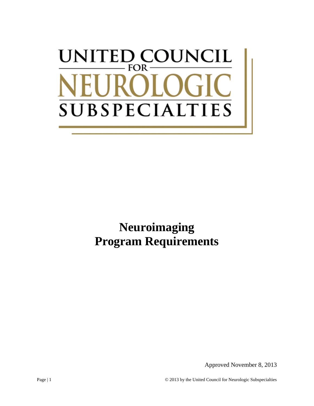# UNITED COUNCIL FOR-**SUBSPECIALTIES**

**Neuroimaging Program Requirements**

Approved November 8, 2013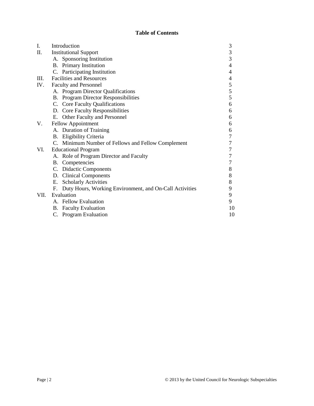## **Table of Contents**

| I.   | Introduction                                                  | 3              |
|------|---------------------------------------------------------------|----------------|
| Π.   | <b>Institutional Support</b>                                  | 3              |
|      | A. Sponsoring Institution                                     | 3              |
|      | <b>B.</b> Primary Institution                                 | $\overline{4}$ |
|      | C. Participating Institution                                  | 4              |
| III. | <b>Facilities and Resources</b>                               | 4              |
| IV.  | Faculty and Personnel                                         | 5              |
|      | A. Program Director Qualifications                            | 5              |
|      | <b>B.</b> Program Director Responsibilities                   | 5              |
|      | C. Core Faculty Qualifications                                | 6              |
|      | D. Core Faculty Responsibilities                              | 6              |
|      | E. Other Faculty and Personnel                                | 6              |
| V.   | <b>Fellow Appointment</b>                                     | 6              |
|      | A. Duration of Training                                       | 6              |
|      | B. Eligibility Criteria                                       | 7              |
|      | C. Minimum Number of Fellows and Fellow Complement            | 7              |
| VI.  | <b>Educational Program</b>                                    | 7              |
|      | A. Role of Program Director and Faculty                       | 7              |
|      | B. Competencies                                               | 7              |
|      | C. Didactic Components                                        | 8              |
|      | D. Clinical Components                                        | 8              |
|      | <b>Scholarly Activities</b><br>E.                             | 8              |
|      | Duty Hours, Working Environment, and On-Call Activities<br>F. | 9              |
| VII. | Evaluation                                                    | 9              |
|      | A. Fellow Evaluation                                          | 9              |
|      | <b>B.</b> Faculty Evaluation                                  | 10             |
|      | C. Program Evaluation                                         | 10             |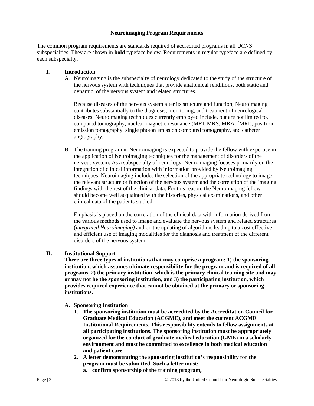#### **Neuroimaging Program Requirements**

The common program requirements are standards required of accredited programs in all UCNS subspecialties. They are shown in **bold** typeface below. Requirements in regular typeface are defined by each subspecialty.

#### **I. Introduction**

A. Neuroimaging is the subspecialty of neurology dedicated to the study of the structure of the nervous system with techniques that provide anatomical renditions, both static and dynamic, of the nervous system and related structures.

Because diseases of the nervous system alter its structure and function, Neuroimaging contributes substantially to the diagnosis, monitoring, and treatment of neurological diseases. Neuroimaging techniques currently employed include, but are not limited to, computed tomography, nuclear magnetic resonance (MRI, MRS, MRA, fMRI), positron emission tomography, single photon emission computed tomography, and catheter angiography.

B. The training program in Neuroimaging is expected to provide the fellow with expertise in the application of Neuroimaging techniques for the management of disorders of the nervous system. As a subspecialty of neurology, Neuroimaging focuses primarily on the integration of clinical information with information provided by Neuroimaging techniques. Neuroimaging includes the selection of the appropriate technology to image the relevant structure or function of the nervous system and the correlation of the imaging findings with the rest of the clinical data. For this reason, the Neuroimaging fellow should become well acquainted with the histories, physical examinations, and other clinical data of the patients studied.

Emphasis is placed on the correlation of the clinical data with information derived from the various methods used to image and evaluate the nervous system and related structures (*integrated Neuroimaging)* and on the updating of algorithms leading to a cost effective and efficient use of imaging modalities for the diagnosis and treatment of the different disorders of the nervous system.

#### **II. Institutional Support**

**There are three types of institutions that may comprise a program: 1) the sponsoring institution, which assumes ultimate responsibility for the program and is required of all programs, 2) the primary institution, which is the primary clinical training site and may or may not be the sponsoring institution, and 3) the participating institution, which provides required experience that cannot be obtained at the primary or sponsoring institutions.**

- **A. Sponsoring Institution**
	- **1. The sponsoring institution must be accredited by the Accreditation Council for Graduate Medical Education (ACGME), and meet the current ACGME Institutional Requirements. This responsibility extends to fellow assignments at all participating institutions. The sponsoring institution must be appropriately organized for the conduct of graduate medical education (GME) in a scholarly environment and must be committed to excellence in both medical education and patient care.**
	- **2. A letter demonstrating the sponsoring institution's responsibility for the program must be submitted. Such a letter must: a. confirm sponsorship of the training program,**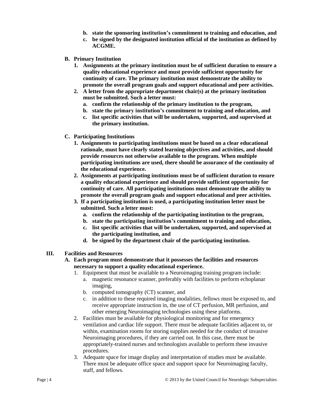- **b. state the sponsoring institution's commitment to training and education, and**
- **c. be signed by the designated institution official of the institution as defined by ACGME.**
- **B. Primary Institution**
	- **1. Assignments at the primary institution must be of sufficient duration to ensure a quality educational experience and must provide sufficient opportunity for continuity of care. The primary institution must demonstrate the ability to promote the overall program goals and support educational and peer activities.**
	- **2. A letter from the appropriate department chair(s) at the primary institution must be submitted. Such a letter must:**
		- **a. confirm the relationship of the primary institution to the program,**
		- **b. state the primary institution's commitment to training and education, and**
		- **c. list specific activities that will be undertaken, supported, and supervised at the primary institution.**
- **C. Participating Institutions**
	- **1. Assignments to participating institutions must be based on a clear educational rationale, must have clearly stated learning objectives and activities, and should provide resources not otherwise available to the program. When multiple participating institutions are used, there should be assurance of the continuity of the educational experience.**
	- **2. Assignments at participating institutions must be of sufficient duration to ensure a quality educational experience and should provide sufficient opportunity for continuity of care. All participating institutions must demonstrate the ability to promote the overall program goals and support educational and peer activities.**
	- **3. If a participating institution is used, a participating institution letter must be submitted. Such a letter must:**
		- **a. confirm the relationship of the participating institution to the program,**
		- **b. state the participating institution's commitment to training and education,**
		- **c. list specific activities that will be undertaken, supported, and supervised at the participating institution, and**
		- **d. be signed by the department chair of the participating institution.**
- **III. Facilities and Resources**
	- **A. Each program must demonstrate that it possesses the facilities and resources necessary to support a quality educational experience.**
		- 1. Equipment that must be available to a Neuroimaging training program include:
			- a. magnetic resonance scanner, preferably with facilities to perform echoplanar imaging,
			- b. computed tomography (CT) scanner, and
			- c. in addition to these required imaging modalities, fellows must be exposed to, and receive appropriate instruction in, the use of CT perfusion, MR perfusion, and other emerging Neuroimaging technologies using these platforms.
		- 2. Facilities must be available for physiological monitoring and for emergency ventilation and cardiac life support. There must be adequate facilities adjacent to, or within, examination rooms for storing supplies needed for the conduct of invasive Neuroimaging procedures, if they are carried out. In this case, there must be appropriately-trained nurses and technologists available to perform these invasive procedures.
		- 3. Adequate space for image display and interpretation of studies must be available. There must be adequate office space and support space for Neuroimaging faculty, staff, and fellows.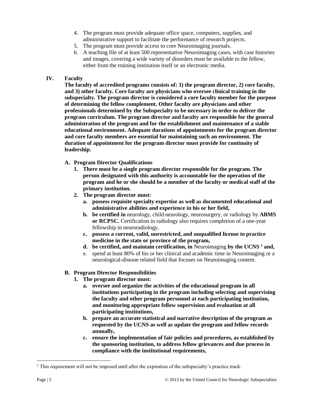- 4. The program must provide adequate office space, computers, supplies, and administrative support to facilitate the performance of research projects.
- 5. The program must provide access to core Neuroimaging journals.
- 6. A teaching file of at least 500 representative Neuroimaging cases, with case histories and images, covering a wide variety of disorders must be available to the fellow, either from the training institution itself or an electronic media.

#### **IV. Faculty**

**The faculty of accredited programs consists of: 1) the program director, 2) core faculty, and 3) other faculty. Core faculty are physicians who oversee clinical training in the subspecialty. The program director is considered a core faculty member for the purpose of determining the fellow complement. Other faculty are physicians and other professionals determined by the Subspecialty to be necessary in order to deliver the program curriculum. The program director and faculty are responsible for the general administration of the program and for the establishment and maintenance of a stable educational environment. Adequate durations of appointments for the program director and core faculty members are essential for maintaining such an environment. The duration of appointment for the program director must provide for continuity of leadership.**

- **A. Program Director Qualifications**
	- **1. There must be a single program director responsible for the program. The person designated with this authority is accountable for the operation of the program and he or she should be a member of the faculty or medical staff of the primary institution.**
	- **2. The program director must:**
		- **a. possess requisite specialty expertise as well as documented educational and administrative abilities and experience in his or her field,**
		- **b. be certified in** neurology, child neurology, neurosurgery, or radiology by **ABMS or RCPSC.** Certification in radiology also requires completion of a one-year fellowship in neuroradiology,
		- **c. possess a current, valid, unrestricted, and unqualified license to practice medicine in the state or province of the program,**
		- **d. be certified, and maintain certification, in** Neuroimaging **by the UCNS <sup>1</sup> and,**
		- e. spend at least 80% of his or her clinical and academic time in Neuroimaging or a neurological-disease related field that focuses on Neuroimaging content.

## **B. Program Director Responsibilities**

- **1. The program director must:**
	- **a. oversee and organize the activities of the educational program in all institutions participating in the program including selecting and supervising the faculty and other program personnel at each participating institution, and monitoring appropriate fellow supervision and evaluation at all participating institutions,**
	- **b. prepare an accurate statistical and narrative description of the program as requested by the UCNS as well as update the program and fellow records annually,**
	- **c. ensure the implementation of fair policies and procedures, as established by the sponsoring institution, to address fellow grievances and due process in compliance with the institutional requirements,**

 $\overline{a}$ 

 $<sup>1</sup>$  This requirement will not be imposed until after the expiration of the subspecialty's practice track.</sup>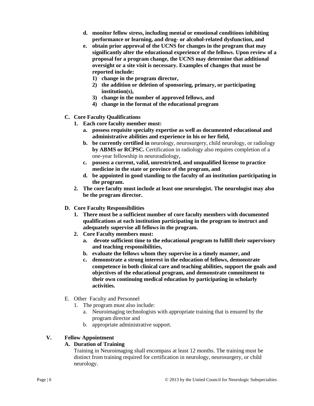- **d. monitor fellow stress, including mental or emotional conditions inhibiting performance or learning, and drug- or alcohol-related dysfunction, and**
- **e. obtain prior approval of the UCNS for changes in the program that may significantly alter the educational experience of the fellows. Upon review of a proposal for a program change, the UCNS may determine that additional oversight or a site visit is necessary. Examples of changes that must be reported include:**
	- **1) change in the program director,**
	- **2) the addition or deletion of sponsoring, primary, or participating institution(s),**
	- **3) change in the number of approved fellows, and**
	- **4) change in the format of the educational program**
- **C. Core Faculty Qualifications**
	- **1. Each core faculty member must:** 
		- **a. possess requisite specialty expertise as well as documented educational and administrative abilities and experience in his or her field,**
		- **b. be currently certified in** neurology, neurosurgery, child neurology, or radiology **by ABMS or RCPSC.** Certification in radiology also requires completion of a one-year fellowship in neuroradiology,
		- **c. possess a current, valid, unrestricted, and unqualified license to practice medicine in the state or province of the program, and**
		- **d. be appointed in good standing to the faculty of an institution participating in the program.**
	- **2. The core faculty must include at least one neurologist. The neurologist may also be the program director.**
- **D. Core Faculty Responsibilities**
	- **1. There must be a sufficient number of core faculty members with documented qualifications at each institution participating in the program to instruct and adequately supervise all fellows in the program.**
	- **2. Core Faculty members must:**
		- **a. devote sufficient time to the educational program to fulfill their supervisory and teaching responsibilities,**
		- **b. evaluate the fellows whom they supervise in a timely manner, and**
		- **c. demonstrate a strong interest in the education of fellows, demonstrate competence in both clinical care and teaching abilities, support the goals and objectives of the educational program, and demonstrate commitment to their own continuing medical education by participating in scholarly activities.**
- E. Other Faculty and Personnel
	- 1. The program must also include:
		- a. Neuroimaging technologists with appropriate training that is ensured by the program director and
		- b. appropriate administrative support.

## **V. Fellow Appointment**

## **A. Duration of Training**

Training in Neuroimaging shall encompass at least 12 months. The training must be distinct from training required for certification in neurology, neurosurgery, or child neurology.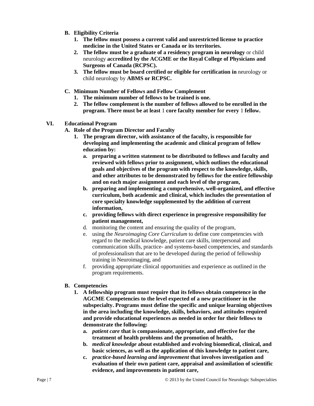- **B. Eligibility Criteria**
	- **1. The fellow must possess a current valid and unrestricted license to practice medicine in the United States or Canada or its territories.**
	- **2. The fellow must be a graduate of a residency program in neurology** or child neurology **accredited by the ACGME or the Royal College of Physicians and Surgeons of Canada (RCPSC).**
	- **3. The fellow must be board certified or eligible for certification in** neurology or child neurology by **ABMS or RCPSC.**
- **C. Minimum Number of Fellows and Fellow Complement**
	- **1. The minimum number of fellows to be trained is one.**
	- **2. The fellow complement is the number of fellows allowed to be enrolled in the program. There must be at least** 1 **core faculty member for every** 1 **fellow.**
- **VI. Educational Program**
	- **A. Role of the Program Director and Faculty**
		- **1. The program director, with assistance of the faculty, is responsible for developing and implementing the academic and clinical program of fellow education by:**
			- **a. preparing a written statement to be distributed to fellows and faculty and reviewed with fellows prior to assignment, which outlines the educational goals and objectives of the program with respect to the knowledge, skills, and other attributes to be demonstrated by fellows for the entire fellowship and on each major assignment and each level of the program,**
			- **b. preparing and implementing a comprehensive, well-organized, and effective curriculum, both academic and clinical, which includes the presentation of core specialty knowledge supplemented by the addition of current information,**
			- **c. providing fellows with direct experience in progressive responsibility for patient management,**
			- d. monitoring the content and ensuring the quality of the program,
			- e. using the *Neuroimaging Core Curriculum* to define core competencies with regard to the medical knowledge, patient care skills, interpersonal and communication skills, practice- and systems-based competencies, and standards of professionalism that are to be developed during the period of fellowship training in Neuroimaging, and
			- f. providing appropriate clinical opportunities and experience as outlined in the program requirements.

#### **B. Competencies**

- **1. A fellowship program must require that its fellows obtain competence in the AGCME Competencies to the level expected of a new practitioner in the subspecialty. Programs must define the specific and unique learning objectives in the area including the knowledge, skills, behaviors, and attitudes required and provide educational experiences as needed in order for their fellows to demonstrate the following:**
	- **a.** *patient care* **that is compassionate, appropriate, and effective for the treatment of health problems and the promotion of health,**
	- **b.** *medical knowledge* **about established and evolving biomedical, clinical, and basic sciences, as well as the application of this knowledge to patient care,**
	- **c.** *practice-based learning and improvement* **that involves investigation and evaluation of their own patient care, appraisal and assimilation of scientific evidence, and improvements in patient care,**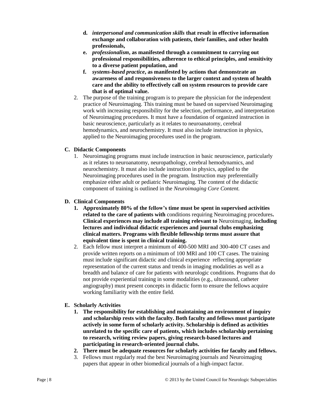- **d.** *interpersonal and communication skills* **that result in effective information exchange and collaboration with patients, their families, and other health professionals,**
- **e.** *professionalism***, as manifested through a commitment to carrying out professional responsibilities, adherence to ethical principles, and sensitivity to a diverse patient population, and**
- **f.** *systems-based practice***, as manifested by actions that demonstrate an awareness of and responsiveness to the larger context and system of health care and the ability to effectively call on system resources to provide care that is of optimal value.**
- 2. The purpose of the training program is to prepare the physician for the independent practice of Neuroimaging. This training must be based on supervised Neuroimaging work with increasing responsibility for the selection, performance, and interpretation of Neuroimaging procedures. It must have a foundation of organized instruction in basic neuroscience, particularly as it relates to neuroanatomy, cerebral hemodynamics, and neurochemistry. It must also include instruction in physics, applied to the Neuroimaging procedures used in the program.

## **C. Didactic Components**

1. Neuroimaging programs must include instruction in basic neuroscience, particularly as it relates to neuroanatomy, neuropathology, cerebral hemodynamics, and neurochemistry. It must also include instruction in physics, applied to the Neuroimaging procedures used in the program. Instruction may preferentially emphasize either adult or pediatric Neuroimaging. The content of the didactic component of training is outlined in the *Neuroimaging Core Content.*

## **D. Clinical Components**

- **1. Approximately 80% of the fellow's time must be spent in supervised activities related to the care of patients with** conditions requiring Neuroimaging procedures**. Clinical experiences may include all training relevant to** Neuroimaging, **including lectures and individual didactic experiences and journal clubs emphasizing clinical matters. Programs with flexible fellowship terms must assure that equivalent time is spent in clinical training.**
- 2. Each fellow must interpret a minimum of 400-500 MRI and 300-400 CT cases and provide written reports on a minimum of 100 MRI and 100 CT cases. The training must include significant didactic and clinical experience reflecting appropriate representation of the current status and trends in imaging modalities as well as a breadth and balance of care for patients with neurologic conditions. Programs that do not provide experiential training in some modalities (e.g., ultrasound, catheter angiography) must present concepts in didactic form to ensure the fellows acquire working familiarity with the entire field.

# **E. Scholarly Activities**

- **1. The responsibility for establishing and maintaining an environment of inquiry and scholarship rests with the faculty. Both faculty and fellows must participate actively in some form of scholarly activity. Scholarship is defined as activities unrelated to the specific care of patients, which includes scholarship pertaining to research, writing review papers, giving research-based lectures and participating in research-oriented journal clubs.**
- **2. There must be adequate resources for scholarly activities for faculty and fellows.**
- 3. Fellows must regularly read the best Neuroimaging journals and Neuroimaging papers that appear in other biomedical journals of a high-impact factor.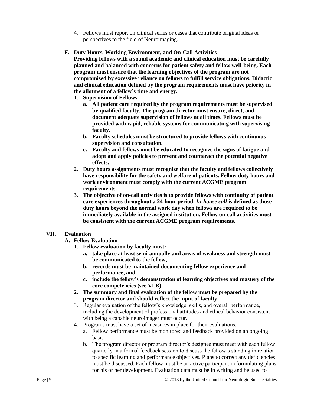- 4. Fellows must report on clinical series or cases that contribute original ideas or perspectives to the field of Neuroimaging.
- **F. Duty Hours, Working Environment, and On-Call Activities**

**Providing fellows with a sound academic and clinical education must be carefully planned and balanced with concerns for patient safety and fellow well-being. Each program must ensure that the learning objectives of the program are not compromised by excessive reliance on fellows to fulfill service obligations. Didactic and clinical education defined by the program requirements must have priority in the allotment of a fellow's time and energy.**

- **1. Supervision of Fellows**
	- **a. All patient care required by the program requirements must be supervised by qualified faculty. The program director must ensure, direct, and document adequate supervision of fellows at all times. Fellows must be provided with rapid, reliable systems for communicating with supervising faculty.**
	- **b. Faculty schedules must be structured to provide fellows with continuous supervision and consultation.**
	- **c. Faculty and fellows must be educated to recognize the signs of fatigue and adopt and apply policies to prevent and counteract the potential negative effects.**
- **2. Duty hours assignments must recognize that the faculty and fellows collectively have responsibility for the safety and welfare of patients. Fellow duty hours and work environment must comply with the current ACGME program requirements.**
- **3. The objective of on-call activities is to provide fellows with continuity of patient care experiences throughout a 24-hour period.** *In-house call* **is defined as those duty hours beyond the normal work day when fellows are required to be immediately available in the assigned institution. Fellow on-call activities must be consistent with the current ACGME program requirements.**

## **VII. Evaluation**

- **A. Fellow Evaluation**
	- **1. Fellow evaluation by faculty must:**
		- **a. take place at least semi-annually and areas of weakness and strength must be communicated to the fellow,**
		- **b. records must be maintained documenting fellow experience and performance, and**
		- **c. include the fellow's demonstration of learning objectives and mastery of the core competencies (see VI.B).**
	- **2. The summary and final evaluation of the fellow must be prepared by the program director and should reflect the input of faculty.**
	- 3. Regular evaluation of the fellow's knowledge, skills, and overall performance, including the development of professional attitudes and ethical behavior consistent with being a capable neuroimager must occur.
	- 4. Programs must have a set of measures in place for their evaluations.
		- a. Fellow performance must be monitored and feedback provided on an ongoing basis.
		- b. The program director or program director's designee must meet with each fellow quarterly in a formal feedback session to discuss the fellow's standing in relation to specific learning and performance objectives. Plans to correct any deficiencies must be discussed. Each fellow must be an active participant in formulating plans for his or her development. Evaluation data must be in writing and be used to